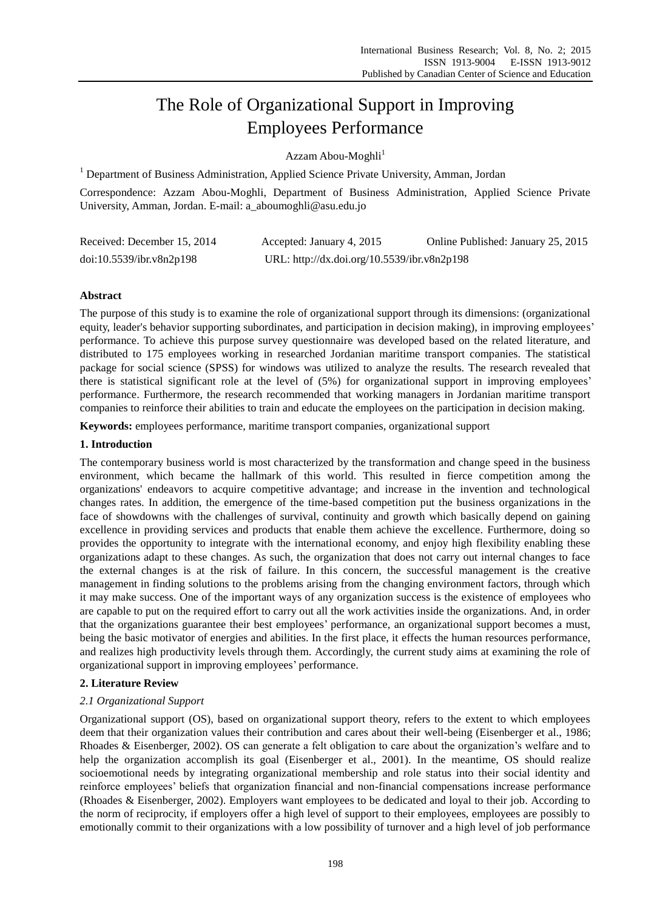# The Role of Organizational Support in Improving Employees Performance

Azzam Abou-Moghli<sup>1</sup>

<sup>1</sup> Department of Business Administration, Applied Science Private University, Amman, Jordan

Correspondence: Azzam Abou-Moghli, Department of Business Administration, Applied Science Private University, Amman, Jordan. E-mail: a\_aboumoghli@asu.edu.jo

| Received: December 15, 2014 | Accepted: January 4, 2015                   | Online Published: January 25, 2015 |
|-----------------------------|---------------------------------------------|------------------------------------|
| doi:10.5539/ibr.v8n2p198    | URL: http://dx.doi.org/10.5539/ibr.v8n2p198 |                                    |

## **Abstract**

The purpose of this study is to examine the role of organizational support through its dimensions: (organizational equity, leader's behavior supporting subordinates, and participation in decision making), in improving employees' performance. To achieve this purpose survey questionnaire was developed based on the related literature, and distributed to 175 employees working in researched Jordanian maritime transport companies. The statistical package for social science (SPSS) for windows was utilized to analyze the results. The research revealed that there is statistical significant role at the level of (5%) for organizational support in improving employees' performance. Furthermore, the research recommended that working managers in Jordanian maritime transport companies to reinforce their abilities to train and educate the employees on the participation in decision making.

**Keywords:** employees performance, maritime transport companies, organizational support

## **1. Introduction**

The contemporary business world is most characterized by the transformation and change speed in the business environment, which became the hallmark of this world. This resulted in fierce competition among the organizations' endeavors to acquire competitive advantage; and increase in the invention and technological changes rates. In addition, the emergence of the time-based competition put the business organizations in the face of showdowns with the challenges of survival, continuity and growth which basically depend on gaining excellence in providing services and products that enable them achieve the excellence. Furthermore, doing so provides the opportunity to integrate with the international economy, and enjoy high flexibility enabling these organizations adapt to these changes. As such, the organization that does not carry out internal changes to face the external changes is at the risk of failure. In this concern, the successful management is the creative management in finding solutions to the problems arising from the changing environment factors, through which it may make success. One of the important ways of any organization success is the existence of employees who are capable to put on the required effort to carry out all the work activities inside the organizations. And, in order that the organizations guarantee their best employees' performance, an organizational support becomes a must, being the basic motivator of energies and abilities. In the first place, it effects the human resources performance, and realizes high productivity levels through them. Accordingly, the current study aims at examining the role of organizational support in improving employees' performance.

## **2. Literature Review**

## *2.1 Organizational Support*

Organizational support (OS), based on organizational support theory, refers to the extent to which employees deem that their organization values their contribution and cares about their well-being (Eisenberger et al., 1986; Rhoades & Eisenberger, 2002). OS can generate a felt obligation to care about the organization's welfare and to help the organization accomplish its goal (Eisenberger et al., 2001). In the meantime, OS should realize socioemotional needs by integrating organizational membership and role status into their social identity and reinforce employees' beliefs that organization financial and non-financial compensations increase performance (Rhoades & Eisenberger, 2002). Employers want employees to be dedicated and loyal to their job. According to the norm of reciprocity, if employers offer a high level of support to their employees, employees are possibly to emotionally commit to their organizations with a low possibility of turnover and a high level of job performance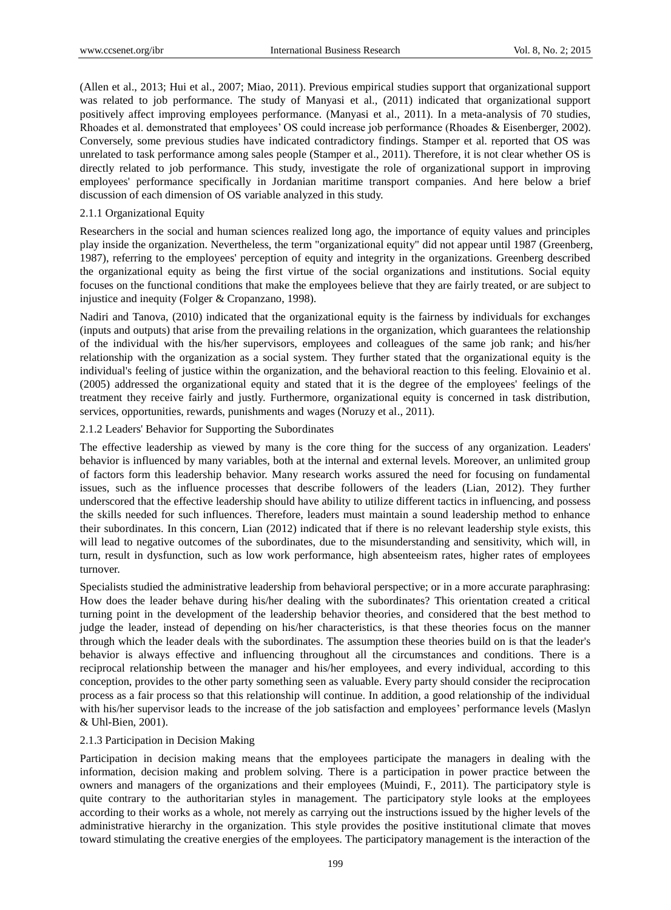(Allen et al., 2013; Hui et al., 2007; Miao, 2011). Previous empirical studies support that organizational support was related to job performance. The study of Manyasi et al., (2011) indicated that organizational support positively affect improving employees performance. (Manyasi et al., 2011). In a meta-analysis of 70 studies, Rhoades et al. demonstrated that employees' OS could increase job performance (Rhoades & Eisenberger, 2002). Conversely, some previous studies have indicated contradictory findings. Stamper et al. reported that OS was unrelated to task performance among sales people (Stamper et al., 2011). Therefore, it is not clear whether OS is directly related to job performance. This study, investigate the role of organizational support in improving employees' performance specifically in Jordanian maritime transport companies. And here below a brief discussion of each dimension of OS variable analyzed in this study.

## 2.1.1 Organizational Equity

Researchers in the social and human sciences realized long ago, the importance of equity values and principles play inside the organization. Nevertheless, the term "organizational equity" did not appear until 1987 (Greenberg, 1987), referring to the employees' perception of equity and integrity in the organizations. Greenberg described the organizational equity as being the first virtue of the social organizations and institutions. Social equity focuses on the functional conditions that make the employees believe that they are fairly treated, or are subject to injustice and inequity (Folger & Cropanzano, 1998).

Nadiri and Tanova, (2010) indicated that the organizational equity is the fairness by individuals for exchanges (inputs and outputs) that arise from the prevailing relations in the organization, which guarantees the relationship of the individual with the his/her supervisors, employees and colleagues of the same job rank; and his/her relationship with the organization as a social system. They further stated that the organizational equity is the individual's feeling of justice within the organization, and the behavioral reaction to this feeling. Elovainio et al. (2005) addressed the organizational equity and stated that it is the degree of the employees' feelings of the treatment they receive fairly and justly. Furthermore, organizational equity is concerned in task distribution, services, opportunities, rewards, punishments and wages (Noruzy et al., 2011).

2.1.2 Leaders' Behavior for Supporting the Subordinates

The effective leadership as viewed by many is the core thing for the success of any organization. Leaders' behavior is influenced by many variables, both at the internal and external levels. Moreover, an unlimited group of factors form this leadership behavior. Many research works assured the need for focusing on fundamental issues, such as the influence processes that describe followers of the leaders (Lian, 2012). They further underscored that the effective leadership should have ability to utilize different tactics in influencing, and possess the skills needed for such influences. Therefore, leaders must maintain a sound leadership method to enhance their subordinates. In this concern, Lian (2012) indicated that if there is no relevant leadership style exists, this will lead to negative outcomes of the subordinates, due to the misunderstanding and sensitivity, which will, in turn, result in dysfunction, such as low work performance, high absenteeism rates, higher rates of employees turnover.

Specialists studied the administrative leadership from behavioral perspective; or in a more accurate paraphrasing: How does the leader behave during his/her dealing with the subordinates? This orientation created a critical turning point in the development of the leadership behavior theories, and considered that the best method to judge the leader, instead of depending on his/her characteristics, is that these theories focus on the manner through which the leader deals with the subordinates. The assumption these theories build on is that the leader's behavior is always effective and influencing throughout all the circumstances and conditions. There is a reciprocal relationship between the manager and his/her employees, and every individual, according to this conception, provides to the other party something seen as valuable. Every party should consider the reciprocation process as a fair process so that this relationship will continue. In addition, a good relationship of the individual with his/her supervisor leads to the increase of the job satisfaction and employees' performance levels (Maslyn & Uhl-Bien, 2001).

## 2.1.3 Participation in Decision Making

Participation in decision making means that the employees participate the managers in dealing with the information, decision making and problem solving. There is a participation in power practice between the owners and managers of the organizations and their employees (Muindi, F., 2011). The participatory style is quite contrary to the authoritarian styles in management. The participatory style looks at the employees according to their works as a whole, not merely as carrying out the instructions issued by the higher levels of the administrative hierarchy in the organization. This style provides the positive institutional climate that moves toward stimulating the creative energies of the employees. The participatory management is the interaction of the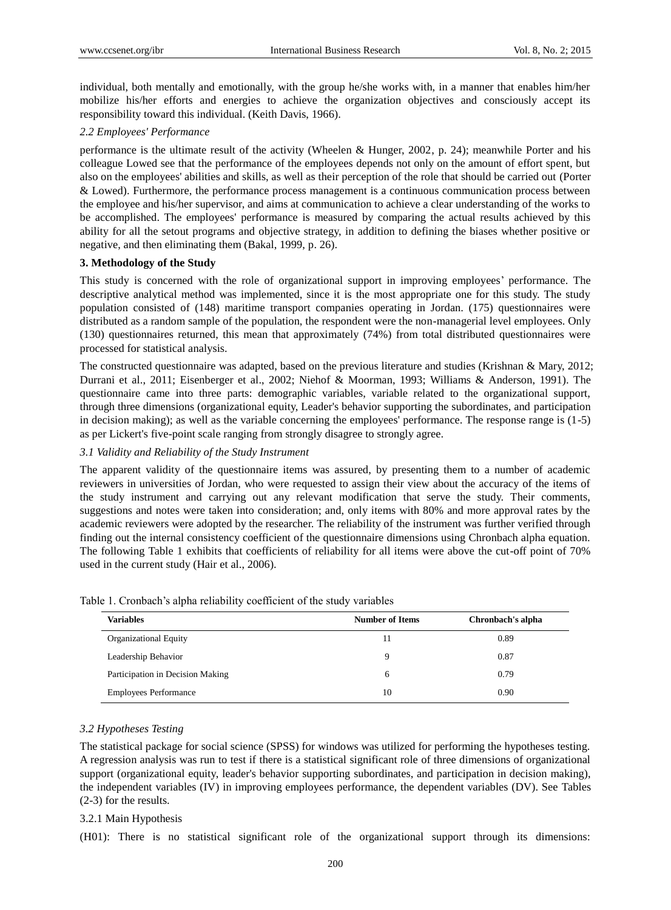individual, both mentally and emotionally, with the group he/she works with, in a manner that enables him/her mobilize his/her efforts and energies to achieve the organization objectives and consciously accept its responsibility toward this individual. (Keith Davis, 1966).

### *2.2 Employees' Performance*

performance is the ultimate result of the activity (Wheelen & Hunger, 2002, p. 24); meanwhile Porter and his colleague Lowed see that the performance of the employees depends not only on the amount of effort spent, but also on the employees' abilities and skills, as well as their perception of the role that should be carried out (Porter & Lowed). Furthermore, the performance process management is a continuous communication process between the employee and his/her supervisor, and aims at communication to achieve a clear understanding of the works to be accomplished. The employees' performance is measured by comparing the actual results achieved by this ability for all the setout programs and objective strategy, in addition to defining the biases whether positive or negative, and then eliminating them (Bakal, 1999, p. 26).

#### **3. Methodology of the Study**

This study is concerned with the role of organizational support in improving employees' performance. The descriptive analytical method was implemented, since it is the most appropriate one for this study. The study population consisted of (148) maritime transport companies operating in Jordan. (175) questionnaires were distributed as a random sample of the population, the respondent were the non-managerial level employees. Only (130) questionnaires returned, this mean that approximately (74%) from total distributed questionnaires were processed for statistical analysis.

The constructed questionnaire was adapted, based on the previous literature and studies (Krishnan & Mary, 2012; Durrani et al., 2011; Eisenberger et al., 2002; Niehof & Moorman, 1993; Williams & Anderson, 1991). The questionnaire came into three parts: demographic variables, variable related to the organizational support, through three dimensions (organizational equity, Leader's behavior supporting the subordinates, and participation in decision making); as well as the variable concerning the employees' performance. The response range is (1-5) as per Lickert's five-point scale ranging from strongly disagree to strongly agree.

#### *3.1 Validity and Reliability of the Study Instrument*

The apparent validity of the questionnaire items was assured, by presenting them to a number of academic reviewers in universities of Jordan, who were requested to assign their view about the accuracy of the items of the study instrument and carrying out any relevant modification that serve the study. Their comments, suggestions and notes were taken into consideration; and, only items with 80% and more approval rates by the academic reviewers were adopted by the researcher. The reliability of the instrument was further verified through finding out the internal consistency coefficient of the questionnaire dimensions using Chronbach alpha equation. The following Table 1 exhibits that coefficients of reliability for all items were above the cut-off point of 70% used in the current study (Hair et al., 2006).

| <b>Variables</b>                 | <b>Number of Items</b> | Chronbach's alpha |
|----------------------------------|------------------------|-------------------|
| Organizational Equity            | 11                     | 0.89              |
| Leadership Behavior              | Q                      | 0.87              |
| Participation in Decision Making | 6                      | 0.79              |
| <b>Employees Performance</b>     | 10                     | 0.90              |

Table 1. Cronbach's alpha reliability coefficient of the study variables

#### *3.2 Hypotheses Testing*

The statistical package for social science (SPSS) for windows was utilized for performing the hypotheses testing. A regression analysis was run to test if there is a statistical significant role of three dimensions of organizational support (organizational equity, leader's behavior supporting subordinates, and participation in decision making), the independent variables (IV) in improving employees performance, the dependent variables (DV). See Tables (2-3) for the results.

#### 3.2.1 Main Hypothesis

(H01): There is no statistical significant role of the organizational support through its dimensions: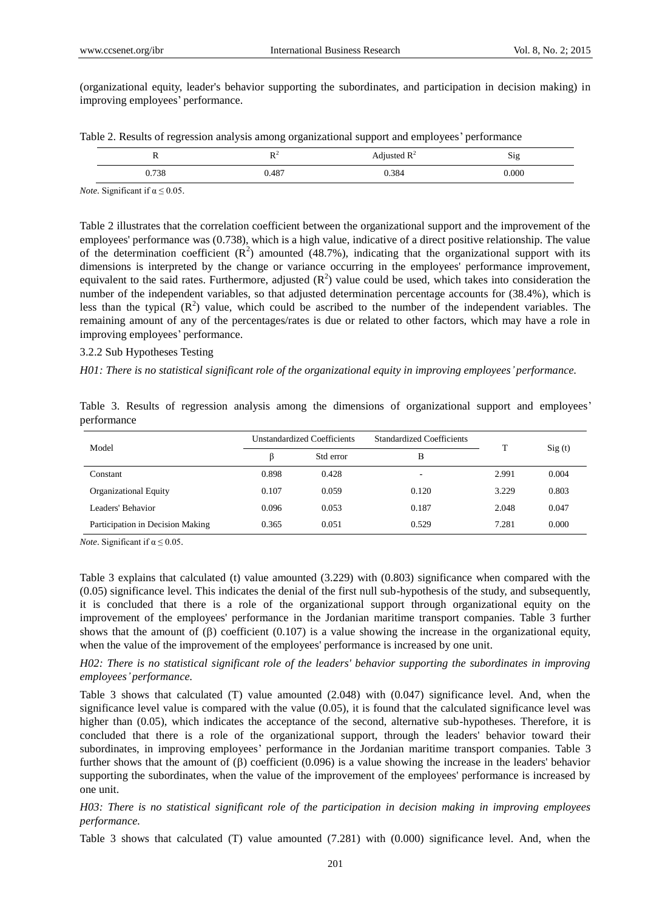(organizational equity, leader's behavior supporting the subordinates, and participation in decision making) in improving employees' performance.

|  | Table 2. Results of regression analysis among organizational support and employees' performance |  |  |
|--|-------------------------------------------------------------------------------------------------|--|--|
|  |                                                                                                 |  |  |

| -<br>$-$ | <b>DA</b><br>$\ddot{\phantom{0}}$ | Adjusted $\mathbb{R}^2$ | $\sim$<br>$S_1g$ |
|----------|-----------------------------------|-------------------------|------------------|
| 0.738    | 0.487                             | 0.384                   | 0.000            |

*Note*. Significant if α ≤ 0.05.

Table 2 illustrates that the correlation coefficient between the organizational support and the improvement of the employees' performance was (0.738), which is a high value, indicative of a direct positive relationship. The value of the determination coefficient  $(R^2)$  amounted (48.7%), indicating that the organizational support with its dimensions is interpreted by the change or variance occurring in the employees' performance improvement, equivalent to the said rates. Furthermore, adjusted  $(R^2)$  value could be used, which takes into consideration the number of the independent variables, so that adjusted determination percentage accounts for (38.4%), which is less than the typical  $(R^2)$  value, which could be ascribed to the number of the independent variables. The remaining amount of any of the percentages/rates is due or related to other factors, which may have a role in improving employees' performance.

#### 3.2.2 Sub Hypotheses Testing

*H01: There is no statistical significant role of the organizational equity in improving employees' performance.*

|             |  |  |  |  | Table 3. Results of regression analysis among the dimensions of organizational support and employees' |  |  |
|-------------|--|--|--|--|-------------------------------------------------------------------------------------------------------|--|--|
| performance |  |  |  |  |                                                                                                       |  |  |

| Model                            |       | Unstandardized Coefficients | <b>Standardized Coefficients</b> |       |        |
|----------------------------------|-------|-----------------------------|----------------------------------|-------|--------|
|                                  | ß     | Std error                   | B                                |       | Sig(t) |
| Constant                         | 0.898 | 0.428                       | $\overline{\phantom{a}}$         | 2.991 | 0.004  |
| <b>Organizational Equity</b>     | 0.107 | 0.059                       | 0.120                            | 3.229 | 0.803  |
| Leaders' Behavior                | 0.096 | 0.053                       | 0.187                            | 2.048 | 0.047  |
| Participation in Decision Making | 0.365 | 0.051                       | 0.529                            | 7.281 | 0.000  |

*Note*. Significant if  $\alpha \leq 0.05$ .

Table 3 explains that calculated (t) value amounted (3.229) with (0.803) significance when compared with the (0.05) significance level. This indicates the denial of the first null sub-hypothesis of the study, and subsequently, it is concluded that there is a role of the organizational support through organizational equity on the improvement of the employees' performance in the Jordanian maritime transport companies. Table 3 further shows that the amount of  $(\beta)$  coefficient  $(0.107)$  is a value showing the increase in the organizational equity, when the value of the improvement of the employees' performance is increased by one unit.

## *H02: There is no statistical significant role of the leaders' behavior supporting the subordinates in improving employees' performance.*

Table 3 shows that calculated (T) value amounted (2.048) with (0.047) significance level. And, when the significance level value is compared with the value (0.05), it is found that the calculated significance level was higher than (0.05), which indicates the acceptance of the second, alternative sub-hypotheses. Therefore, it is concluded that there is a role of the organizational support, through the leaders' behavior toward their subordinates, in improving employees' performance in the Jordanian maritime transport companies. Table 3 further shows that the amount of  $(\beta)$  coefficient (0.096) is a value showing the increase in the leaders' behavior supporting the subordinates, when the value of the improvement of the employees' performance is increased by one unit.

## *H03: There is no statistical significant role of the participation in decision making in improving employees performance.*

Table 3 shows that calculated (T) value amounted (7.281) with (0.000) significance level. And, when the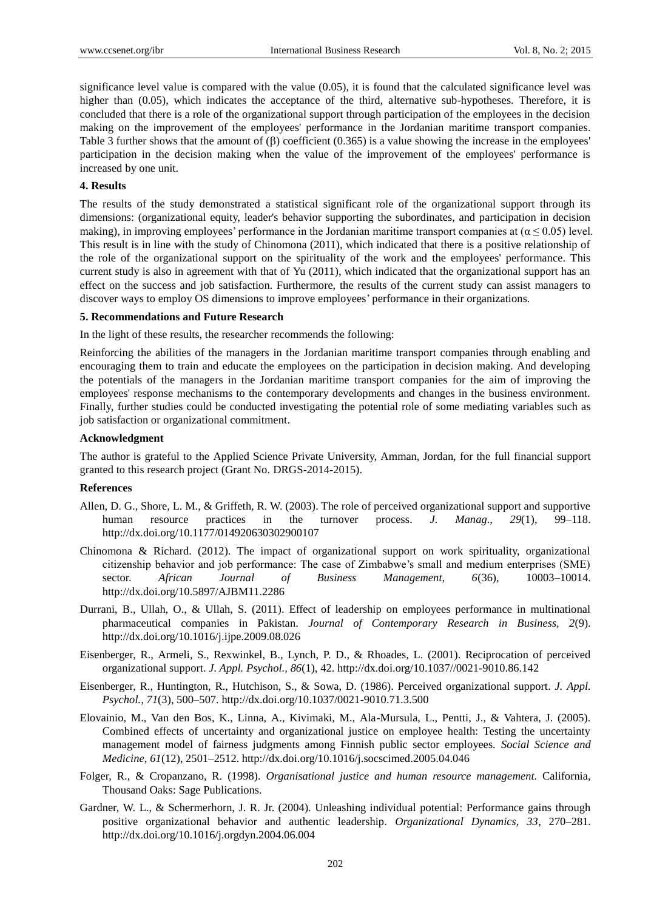significance level value is compared with the value (0.05), it is found that the calculated significance level was higher than (0.05), which indicates the acceptance of the third, alternative sub-hypotheses. Therefore, it is concluded that there is a role of the organizational support through participation of the employees in the decision making on the improvement of the employees' performance in the Jordanian maritime transport companies. Table 3 further shows that the amount of  $(\beta)$  coefficient (0.365) is a value showing the increase in the employees' participation in the decision making when the value of the improvement of the employees' performance is increased by one unit.

#### **4. Results**

The results of the study demonstrated a statistical significant role of the organizational support through its dimensions: (organizational equity, leader's behavior supporting the subordinates, and participation in decision making), in improving employees' performance in the Jordanian maritime transport companies at ( $\alpha \le 0.05$ ) level. This result is in line with the study of Chinomona (2011), which indicated that there is a positive relationship of the role of the organizational support on the spirituality of the work and the employees' performance. This current study is also in agreement with that of Yu (2011), which indicated that the organizational support has an effect on the success and job satisfaction. Furthermore, the results of the current study can assist managers to discover ways to employ OS dimensions to improve employees' performance in their organizations.

## **5. Recommendations and Future Research**

In the light of these results, the researcher recommends the following:

Reinforcing the abilities of the managers in the Jordanian maritime transport companies through enabling and encouraging them to train and educate the employees on the participation in decision making. And developing the potentials of the managers in the Jordanian maritime transport companies for the aim of improving the employees' response mechanisms to the contemporary developments and changes in the business environment. Finally, further studies could be conducted investigating the potential role of some mediating variables such as job satisfaction or organizational commitment.

#### **Acknowledgment**

The author is grateful to the Applied Science Private University, Amman, Jordan, for the full financial support granted to this research project (Grant No. DRGS-2014-2015).

#### **References**

- Allen, D. G., Shore, L. M., & Griffeth, R. W. (2003). The role of perceived organizational support and supportive human resource practices in the turnover process. *J. Manag., 29*(1), 99–118. http://dx.doi.org/10.1177/014920630302900107
- Chinomona & Richard. (2012). The impact of organizational support on work spirituality, organizational citizenship behavior and job performance: The case of Zimbabwe's small and medium enterprises (SME) sector. *African Journal of Business Management, 6*(36), 10003–10014. http://dx.doi.org/10.5897/AJBM11.2286
- Durrani, B., Ullah, O., & Ullah, S. (2011). Effect of leadership on employees performance in multinational pharmaceutical companies in Pakistan. *Journal of Contemporary Research in Business, 2*(9). http://dx.doi.org/10.1016/j.ijpe.2009.08.026
- Eisenberger, R., Armeli, S., Rexwinkel, B., Lynch, P. D., & Rhoades, L. (2001). Reciprocation of perceived organizational support. *J. Appl. Psychol., 86*(1), 42. http://dx.doi.org/10.1037//0021-9010.86.142
- Eisenberger, R., Huntington, R., Hutchison, S., & Sowa, D. (1986). Perceived organizational support. *J. Appl. Psychol., 71*(3), 500–507. http://dx.doi.org/10.1037/0021-9010.71.3.500
- Elovainio, M., Van den Bos, K., Linna, A., Kivimaki, M., Ala-Mursula, L., Pentti, J., & Vahtera, J. (2005). Combined effects of uncertainty and organizational justice on employee health: Testing the uncertainty management model of fairness judgments among Finnish public sector employees. *Social Science and Medicine, 61*(12), 2501–2512. http://dx.doi.org/10.1016/j.socscimed.2005.04.046
- Folger, R., & Cropanzano, R. (1998). *Organisational justice and human resource management.* California, Thousand Oaks: Sage Publications.
- Gardner, W. L., & Schermerhorn, J. R. Jr. (2004). Unleashing individual potential: Performance gains through positive organizational behavior and authentic leadership. *Organizational Dynamics, 33*, 270–281. http://dx.doi.org/10.1016/j.orgdyn.2004.06.004